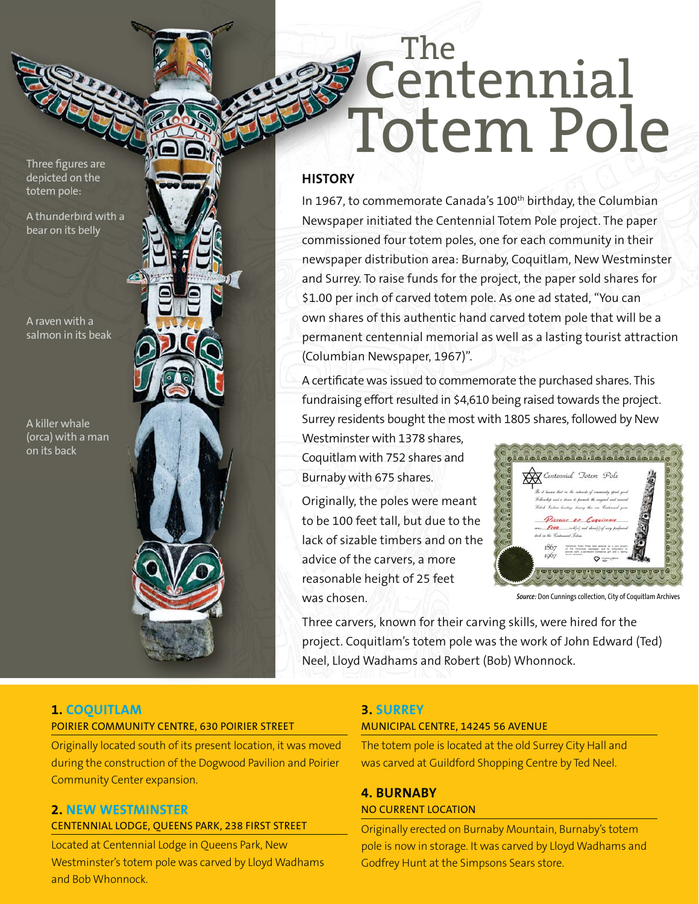Three figures are depicted on the totem pole:

A thunderbird with a bear on its belly

A raven with a salmon in its beak

A killer whale (orca) with a man on its back

# The Centennial Totem Pole

## **HISTORY**

In 1967, to commemorate Canada's 100<sup>th</sup> birthday, the Columbian Newspaper initiated the Centennial Totem Pole project. The paper commissioned four totem poles, one for each community in their newspaper distribution area: Burnaby, Coquitlam, New Westminster and Surrey. To raise funds for the project, the paper sold shares for \$1.00 per inch of carved totem pole. As one ad stated, "You can own shares of this authentic hand carved totem pole that will be a permanent centennial memorial as well as a lasting tourist attraction (Columbian Newspaper, 1967)".

A certificate was issued to commemorate the purchased shares. This fundraising effort resulted in \$4,610 being raised towards the project. Surrey residents bought the most with 1805 shares, followed by New

Westminster with 1378 shares, Coquitlam with 752 shares and Burnaby with 675 shares.

Originally, the poles were meant to be 100 feet tall, but due to the lack of sizable timbers and on the advice of the carvers, a more reasonable height of 25 feet was chosen.



*Source:* Don Cunnings collection, City of Coquitlam Archives

Three carvers, known for their carving skills, were hired for the project. Coquitlam's totem pole was the work of John Edward (Ted) Neel, Lloyd Wadhams and Robert (Bob) Whonnock.

# **1. COQUITLAM**

# POIRIER COMMUNITY CENTRE, 630 POIRIER STREET

Originally located south of its present location, it was moved during the construction of the Dogwood Pavilion and Poirier Community Center expansion.

#### **2. NEW WESTMINSTER** CENTENNIAL LODGE, QUEENS PARK, 238 FIRST STREET

Located at Centennial Lodge in Queens Park, New Westminster's totem pole was carved by Lloyd Wadhams and Bob Whonnock.

# **3. SURREY**

#### MUNICIPAL CENTRE, 14245 56 AVENUE

The totem pole is located at the old Surrey City Hall and was carved at Guildford Shopping Centre by Ted Neel.

#### **4. BURNABY** NO CURRENT LOCATION

Originally erected on Burnaby Mountain, Burnaby's totem pole is now in storage. It was carved by Lloyd Wadhams and Godfrey Hunt at the Simpsons Sears store.